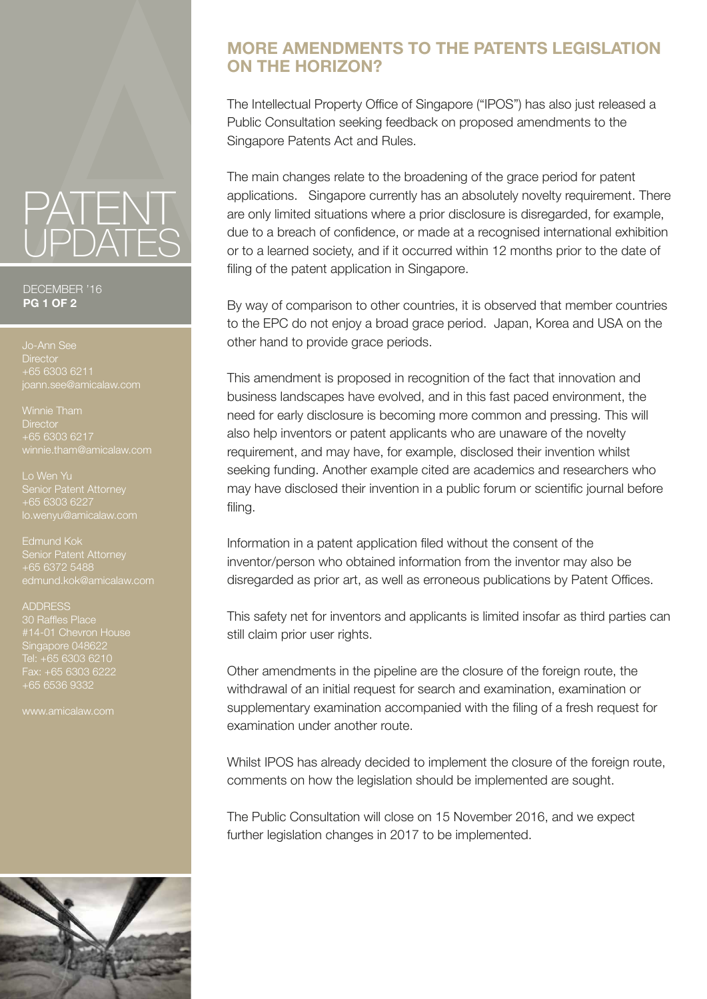## PATENT UPDATES

DECEMBER '16 **PG 1 OF 2**

**Director** +65 6303 6211

Winnie Tham **Director** +65 6303 6217 winnie.tham@amicalaw.com

Lo Wen Yu Senior Patent Attorney +65 6303 6227 lo.wenyu@amicalaw.com

Edmund Kok +65 6372 5488

ADDRESS #14-01 Chevron House Singapore 048622 Fax: +65 6303 6222 +65 6536 9332

www.amicalaw.com



## **MORE AMENDMENTS TO THE PATENTS LEGISLATION ON THE HORIZON?**

The Intellectual Property Office of Singapore ("IPOS") has also just released a Public Consultation seeking feedback on proposed amendments to the Singapore Patents Act and Rules.

The main changes relate to the broadening of the grace period for patent applications. Singapore currently has an absolutely novelty requirement. There are only limited situations where a prior disclosure is disregarded, for example, due to a breach of confidence, or made at a recognised international exhibition or to a learned society, and if it occurred within 12 months prior to the date of filing of the patent application in Singapore.

By way of comparison to other countries, it is observed that member countries to the EPC do not enjoy a broad grace period. Japan, Korea and USA on the other hand to provide grace periods.

This amendment is proposed in recognition of the fact that innovation and business landscapes have evolved, and in this fast paced environment, the need for early disclosure is becoming more common and pressing. This will also help inventors or patent applicants who are unaware of the novelty requirement, and may have, for example, disclosed their invention whilst seeking funding. Another example cited are academics and researchers who may have disclosed their invention in a public forum or scientific journal before filing.

Information in a patent application filed without the consent of the inventor/person who obtained information from the inventor may also be disregarded as prior art, as well as erroneous publications by Patent Offices.

This safety net for inventors and applicants is limited insofar as third parties can still claim prior user rights.

Other amendments in the pipeline are the closure of the foreign route, the withdrawal of an initial request for search and examination, examination or supplementary examination accompanied with the filing of a fresh request for examination under another route.

Whilst IPOS has already decided to implement the closure of the foreign route, comments on how the legislation should be implemented are sought.

The Public Consultation will close on 15 November 2016, and we expect further legislation changes in 2017 to be implemented.